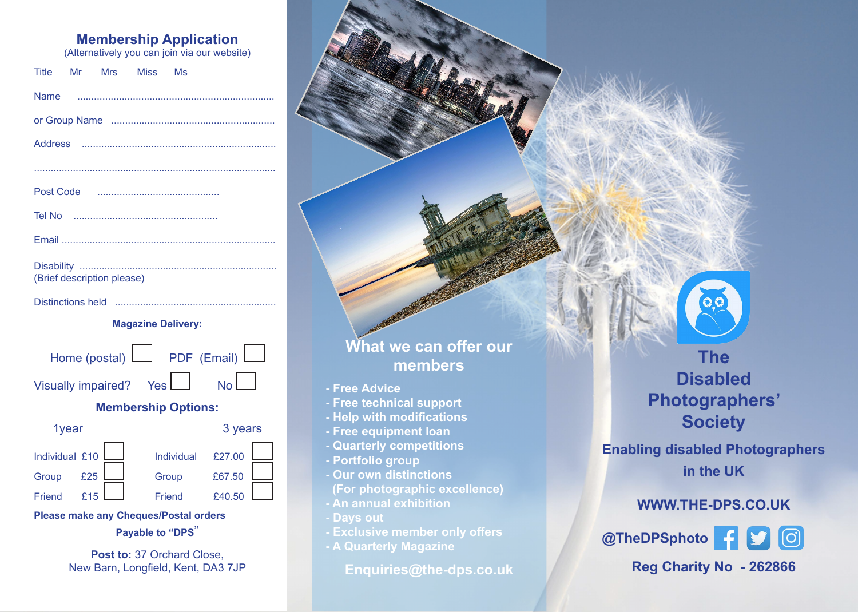## **Membership Application**

(Alternatively you can join via our website)

|  |                            | Title Mr Mrs Miss Ms |  |  |
|--|----------------------------|----------------------|--|--|
|  |                            |                      |  |  |
|  |                            |                      |  |  |
|  |                            |                      |  |  |
|  |                            |                      |  |  |
|  |                            |                      |  |  |
|  |                            |                      |  |  |
|  |                            |                      |  |  |
|  | (Brief description please) |                      |  |  |

Distinctions held ..........................................................

#### **Magazine Delivery:**

Home (postal) **PDF** (Email) Visually impaired? Yes  $\Box$  No

### **Membership Options:**

| 1year          |     |            | 3 years |  |  |
|----------------|-----|------------|---------|--|--|
| Individual £10 |     | Individual | £27.00  |  |  |
| Group          | £25 | Group      | £67.50  |  |  |
| Friend         | f15 | Friend     | £40.50  |  |  |

**Please make any Cheques/Postal orders** 

**Payable to "DPS**"

**Post to: 37 Orchard Close.** New Barn, Longfield, Kent, DA3 7JP

## **What we can offer our members**

- **Free Advice**
- **Free technical support**
- **Help with modifications**
- **Free equipment loan**
- **Quarterly competitions**
- **Portfolio group**
- **Our own distinctions (For photographic excellence)**
- **An annual exhibition**
- **Days out**
- **Exclusive member only offers**
- **A Quarterly Magazine**

**Enquiries@the-dps.co.uk**

**The Disabled Photographers' Society**

**Enabling disabled Photographers in the UK**

## **WWW.THE-DPS.CO.UK**

**@TheDPSphoto Reg Charity No - 262866**